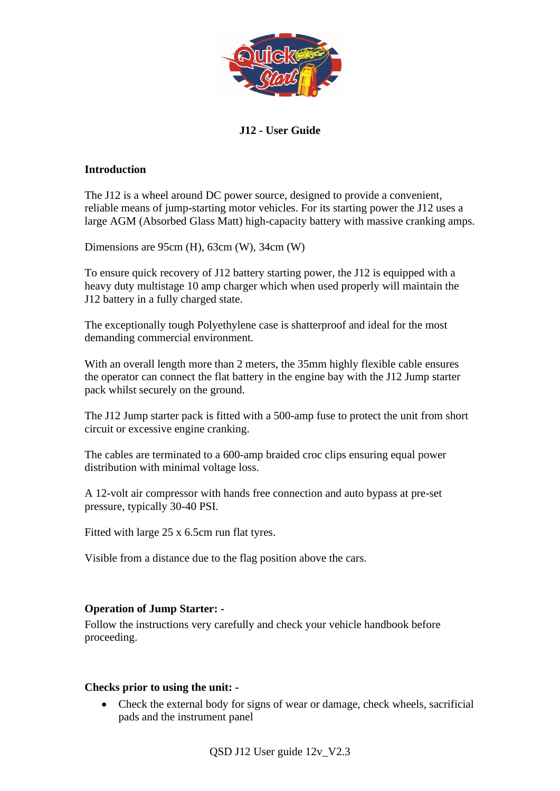

# **J12 - User Guide**

### **Introduction**

The J12 is a wheel around DC power source, designed to provide a convenient, reliable means of jump-starting motor vehicles. For its starting power the J12 uses a large AGM (Absorbed Glass Matt) high-capacity battery with massive cranking amps.

Dimensions are 95cm (H), 63cm (W), 34cm (W)

To ensure quick recovery of J12 battery starting power, the J12 is equipped with a heavy duty multistage 10 amp charger which when used properly will maintain the J12 battery in a fully charged state.

The exceptionally tough Polyethylene case is shatterproof and ideal for the most demanding commercial environment.

With an overall length more than 2 meters, the 35mm highly flexible cable ensures the operator can connect the flat battery in the engine bay with the J12 Jump starter pack whilst securely on the ground.

The J12 Jump starter pack is fitted with a 500-amp fuse to protect the unit from short circuit or excessive engine cranking.

The cables are terminated to a 600-amp braided croc clips ensuring equal power distribution with minimal voltage loss.

A 12-volt air compressor with hands free connection and auto bypass at pre-set pressure, typically 30-40 PSI.

Fitted with large 25 x 6.5cm run flat tyres.

Visible from a distance due to the flag position above the cars.

## **Operation of Jump Starter: -**

Follow the instructions very carefully and check your vehicle handbook before proceeding.

### **Checks prior to using the unit: -**

• Check the external body for signs of wear or damage, check wheels, sacrificial pads and the instrument panel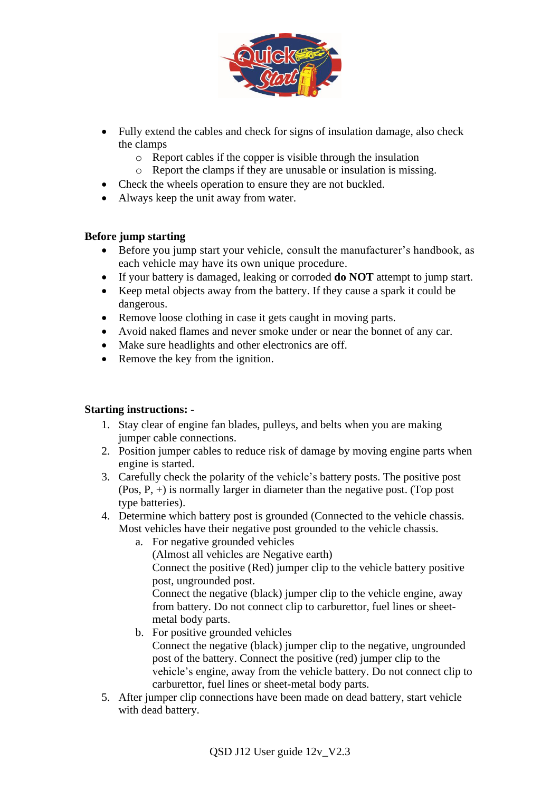

- Fully extend the cables and check for signs of insulation damage, also check the clamps
	- o Report cables if the copper is visible through the insulation
	- o Report the clamps if they are unusable or insulation is missing.
- Check the wheels operation to ensure they are not buckled.
- Always keep the unit away from water.

## **Before jump starting**

- Before you jump start your vehicle, consult the manufacturer's handbook, as each vehicle may have its own unique procedure.
- If your battery is damaged, leaking or corroded **do NOT** attempt to jump start.
- Keep metal objects away from the battery. If they cause a spark it could be dangerous.
- Remove loose clothing in case it gets caught in moving parts.
- Avoid naked flames and never smoke under or near the bonnet of any car.
- Make sure headlights and other electronics are off.
- Remove the key from the ignition.

## **Starting instructions: -**

- 1. Stay clear of engine fan blades, pulleys, and belts when you are making jumper cable connections.
- 2. Position jumper cables to reduce risk of damage by moving engine parts when engine is started.
- 3. Carefully check the polarity of the vehicle's battery posts. The positive post (Pos, P, +) is normally larger in diameter than the negative post. (Top post type batteries).
- 4. Determine which battery post is grounded (Connected to the vehicle chassis. Most vehicles have their negative post grounded to the vehicle chassis.
	- a. For negative grounded vehicles

(Almost all vehicles are Negative earth)

Connect the positive (Red) jumper clip to the vehicle battery positive post, ungrounded post.

Connect the negative (black) jumper clip to the vehicle engine, away from battery. Do not connect clip to carburettor, fuel lines or sheetmetal body parts.

b. For positive grounded vehicles

Connect the negative (black) jumper clip to the negative, ungrounded post of the battery. Connect the positive (red) jumper clip to the vehicle's engine, away from the vehicle battery. Do not connect clip to carburettor, fuel lines or sheet-metal body parts.

5. After jumper clip connections have been made on dead battery, start vehicle with dead battery.